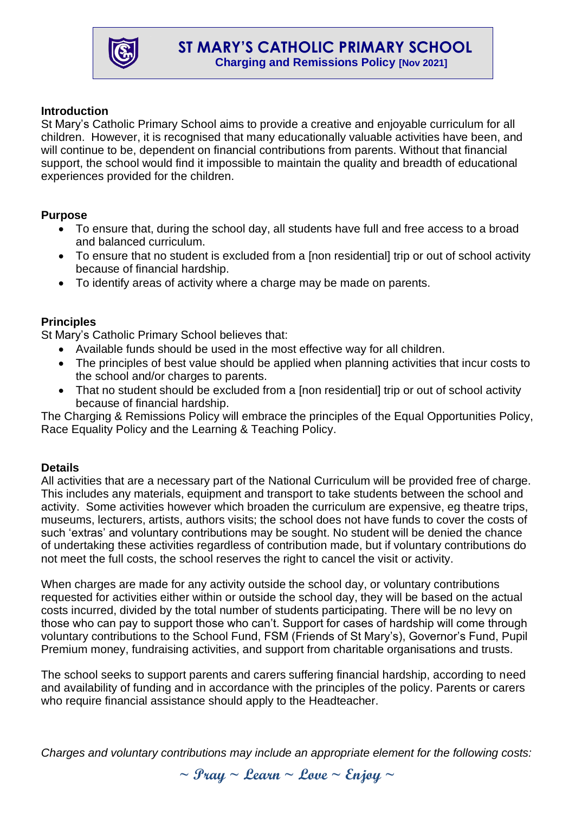

# **Introduction**

St Mary's Catholic Primary School aims to provide a creative and enjoyable curriculum for all children. However, it is recognised that many educationally valuable activities have been, and will continue to be, dependent on financial contributions from parents. Without that financial support, the school would find it impossible to maintain the quality and breadth of educational experiences provided for the children.

## **Purpose**

- To ensure that, during the school day, all students have full and free access to a broad and balanced curriculum.
- To ensure that no student is excluded from a [non residential] trip or out of school activity because of financial hardship.
- To identify areas of activity where a charge may be made on parents.

# **Principles**

St Mary's Catholic Primary School believes that:

- Available funds should be used in the most effective way for all children.
- The principles of best value should be applied when planning activities that incur costs to the school and/or charges to parents.
- That no student should be excluded from a [non residential] trip or out of school activity because of financial hardship.

The Charging & Remissions Policy will embrace the principles of the Equal Opportunities Policy, Race Equality Policy and the Learning & Teaching Policy.

## **Details**

All activities that are a necessary part of the National Curriculum will be provided free of charge. This includes any materials, equipment and transport to take students between the school and activity. Some activities however which broaden the curriculum are expensive, eg theatre trips, museums, lecturers, artists, authors visits; the school does not have funds to cover the costs of such 'extras' and voluntary contributions may be sought. No student will be denied the chance of undertaking these activities regardless of contribution made, but if voluntary contributions do not meet the full costs, the school reserves the right to cancel the visit or activity.

When charges are made for any activity outside the school day, or voluntary contributions requested for activities either within or outside the school day, they will be based on the actual costs incurred, divided by the total number of students participating. There will be no levy on those who can pay to support those who can't. Support for cases of hardship will come through voluntary contributions to the School Fund, FSM (Friends of St Mary's), Governor's Fund, Pupil Premium money, fundraising activities, and support from charitable organisations and trusts.

The school seeks to support parents and carers suffering financial hardship, according to need and availability of funding and in accordance with the principles of the policy. Parents or carers who require financial assistance should apply to the Headteacher.

*Charges and voluntary contributions may include an appropriate element for the following costs:*

**~ Pray ~ Learn ~ Love ~ Enjoy ~**